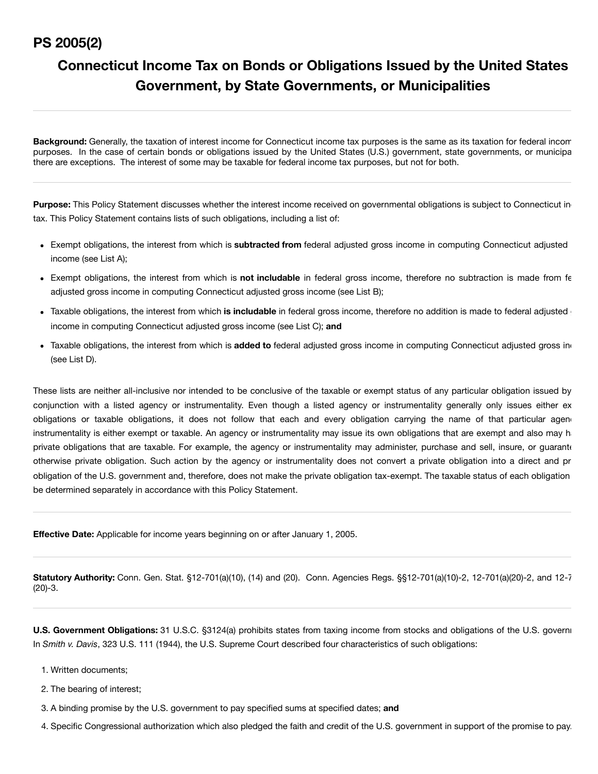# **PS 2005(2)**

# **Connecticut Income Tax on Bonds or Obligations Issued by the United States Government, by State Governments, or Municipalities**

**Background:** Generally, the taxation of interest income for Connecticut income tax purposes is the same as its taxation for federal incom purposes. In the case of certain bonds or obligations issued by the United States (U.S.) government, state governments, or municipa there are exceptions. The interest of some may be taxable for federal income tax purposes, but not for both.

Purpose: This Policy Statement discusses whether the interest income received on governmental obligations is subject to Connecticut ind tax. This Policy Statement contains lists of such obligations, including a list of:

- Exempt obligations, the interest from which is **subtracted from** federal adjusted gross income in computing Connecticut adjusted income (see List A);
- Exempt obligations, the interest from which is **not includable** in federal gross income, therefore no subtraction is made from fe adjusted gross income in computing Connecticut adjusted gross income (see List B);
- Taxable obligations, the interest from which is includable in federal gross income, therefore no addition is made to federal adjusted g income in computing Connecticut adjusted gross income (see List C); **and**
- Taxable obligations, the interest from which is **added to** federal adjusted gross income in computing Connecticut adjusted gross inc (see List D).

These lists are neither all-inclusive nor intended to be conclusive of the taxable or exempt status of any particular obligation issued by conjunction with a listed agency or instrumentality. Even though a listed agency or instrumentality generally only issues either ex obligations or taxable obligations, it does not follow that each and every obligation carrying the name of that particular agend instrumentality is either exempt or taxable. An agency or instrumentality may issue its own obligations that are exempt and also may ha private obligations that are taxable. For example, the agency or instrumentality may administer, purchase and sell, insure, or quarante otherwise private obligation. Such action by the agency or instrumentality does not convert a private obligation into a direct and pr obligation of the U.S. government and, therefore, does not make the private obligation tax-exempt. The taxable status of each obligation be determined separately in accordance with this Policy Statement.

**Effective Date:** Applicable for income years beginning on or after January 1, 2005.

**Statutory Authority:** Conn. Gen. Stat. §12-701(a)(10), (14) and (20). Conn. Agencies Regs. §§12-701(a)(10)-2, 12-701(a)(20)-2, and 12-7 (20)-3.

**U.S. Government Obligations:** 31 U.S.C. §3124(a) prohibits states from taxing income from stocks and obligations of the U.S. governm In *Smith v. Davis*, 323 U.S. 111 (1944), the U.S. Supreme Court described four characteristics of such obligations:

- 1. Written documents;
- 2. The bearing of interest;
- 3. A binding promise by the U.S. government to pay specified sums at specified dates; **and**
- 4. Specific Congressional authorization which also pledged the faith and credit of the U.S. government in support of the promise to pay.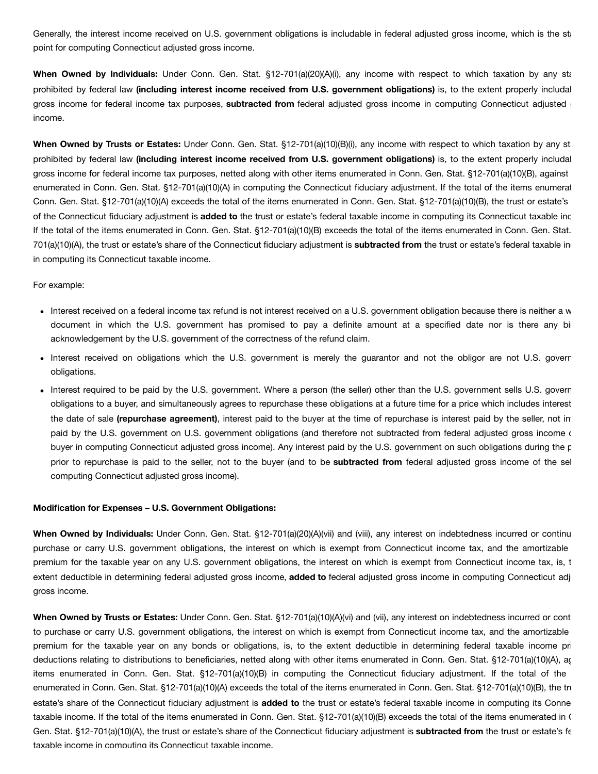Generally, the interest income received on U.S. government obligations is includable in federal adjusted gross income, which is the sta point for computing Connecticut adjusted gross income.

When Owned by Individuals: Under Conn. Gen. Stat. §12-701(a)(20)(A)(i), any income with respect to which taxation by any sta prohibited by federal law **(including interest income received from U.S. government obligations)** is, to the extent properly includab gross income for federal income tax purposes, **subtracted from** federal adjusted gross income in computing Connecticut adjusted g income.

**When Owned by Trusts or Estates:** Under Conn. Gen. Stat. §12-701(a)(10)(B)(i), any income with respect to which taxation by any sta prohibited by federal law **(including interest income received from U.S. government obligations)** is, to the extent properly includab gross income for federal income tax purposes, netted along with other items enumerated in Conn. Gen. Stat. §12-701(a)(10)(B), against enumerated in Conn. Gen. Stat. §12-701(a)(10)(A) in computing the Connecticut fiduciary adjustment. If the total of the items enumerat Conn. Gen. Stat. §12-701(a)(10)(A) exceeds the total of the items enumerated in Conn. Gen. Stat. §12-701(a)(10)(B), the trust or estate's : of the Connecticut fiduciary adjustment is **added to** the trust or estate's federal taxable income in computing its Connecticut taxable inc If the total of the items enumerated in Conn. Gen. Stat. §12-701(a)(10)(B) exceeds the total of the items enumerated in Conn. Gen. Stat. 701(a)(10)(A), the trust or estate's share of the Connecticut fiduciary adjustment is **subtracted from** the trust or estate's federal taxable inc in computing its Connecticut taxable income.

### For example:

- Interest received on a federal income tax refund is not interest received on a U.S. government obligation because there is neither a w document in which the U.S. government has promised to pay a definite amount at a specified date nor is there any bin acknowledgement by the U.S. government of the correctness of the refund claim.
- Interest received on obligations which the U.S. government is merely the quarantor and not the obligor are not U.S. govern obligations.
- Interest required to be paid by the U.S. government. Where a person (the seller) other than the U.S. government sells U.S. govern obligations to a buyer, and simultaneously agrees to repurchase these obligations at a future time for a price which includes interest the date of sale **(repurchase agreement)**, interest paid to the buyer at the time of repurchase is interest paid by the seller, not int paid by the U.S. government on U.S. government obligations (and therefore not subtracted from federal adjusted gross income of buyer in computing Connecticut adjusted gross income). Any interest paid by the U.S. government on such obligations during the p prior to repurchase is paid to the seller, not to the buyer (and to be **subtracted from** federal adjusted gross income of the sel computing Connecticut adjusted gross income).

#### **Modification for Expenses – U.S. Government Obligations:**

**When Owned by Individuals:** Under Conn. Gen. Stat. §12-701(a)(20)(A)(vii) and (viii), any interest on indebtedness incurred or continu purchase or carry U.S. government obligations, the interest on which is exempt from Connecticut income tax, and the amortizable premium for the taxable year on any U.S. government obligations, the interest on which is exempt from Connecticut income tax, is, t extent deductible in determining federal adjusted gross income, **added to** federal adjusted gross income in computing Connecticut adju gross income.

**When Owned by Trusts or Estates:** Under Conn. Gen. Stat. §12-701(a)(10)(A)(vi) and (vii), any interest on indebtedness incurred or cont to purchase or carry U.S. government obligations, the interest on which is exempt from Connecticut income tax, and the amortizable premium for the taxable year on any bonds or obligations, is, to the extent deductible in determining federal taxable income pri deductions relating to distributions to beneficiaries, netted along with other items enumerated in Conn. Gen. Stat. §12-701(a)(10)(A), ac items enumerated in Conn. Gen. Stat. §12-701(a)(10)(B) in computing the Connecticut fiduciary adjustment. If the total of the enumerated in Conn. Gen. Stat. §12-701(a)(10)(A) exceeds the total of the items enumerated in Conn. Gen. Stat. §12-701(a)(10)(B), the tru estate's share of the Connecticut fiduciary adjustment is **added to** the trust or estate's federal taxable income in computing its Connec taxable income. If the total of the items enumerated in Conn. Gen. Stat. §12-701(a)(10)(B) exceeds the total of the items enumerated in C Gen. Stat. §12-701(a)(10)(A), the trust or estate's share of the Connecticut fiduciary adjustment is **subtracted from** the trust or estate's fe taxable income in computing its Connecticut taxable income.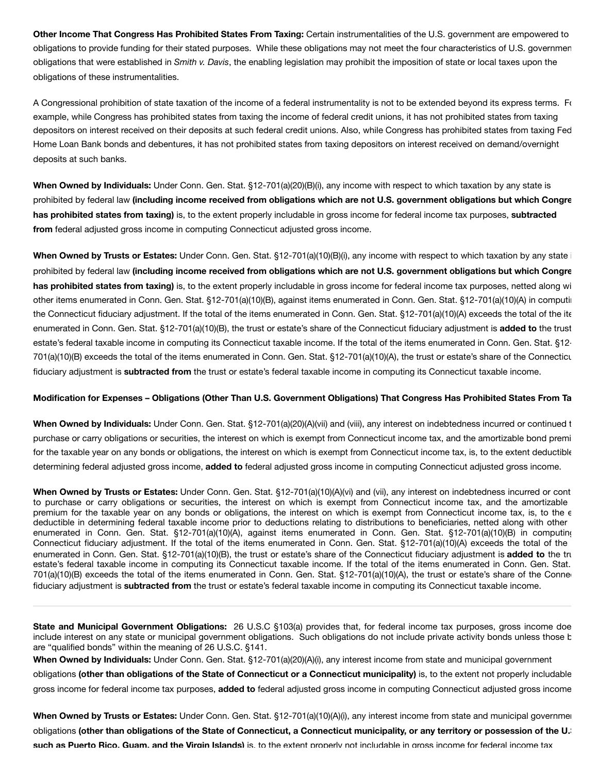**Other Income That Congress Has Prohibited States From Taxing:** Certain instrumentalities of the U.S. government are empowered to obligations to provide funding for their stated purposes. While these obligations may not meet the four characteristics of U.S. governmen obligations that were established in *Smith v. Davis*, the enabling legislation may prohibit the imposition of state or local taxes upon the obligations of these instrumentalities.

A Congressional prohibition of state taxation of the income of a federal instrumentality is not to be extended beyond its express terms. For example, while Congress has prohibited states from taxing the income of federal credit unions, it has not prohibited states from taxing depositors on interest received on their deposits at such federal credit unions. Also, while Congress has prohibited states from taxing Fed Home Loan Bank bonds and debentures, it has not prohibited states from taxing depositors on interest received on demand/overnight deposits at such banks.

**When Owned by Individuals:** Under Conn. Gen. Stat. §12-701(a)(20)(B)(i), any income with respect to which taxation by any state is prohibited by federal law **(including income received from obligations which are not U.S. government obligations but which Congre has prohibited states from taxing)** is, to the extent properly includable in gross income for federal income tax purposes, **subtracted from** federal adjusted gross income in computing Connecticut adjusted gross income.

**When Owned by Trusts or Estates:** Under Conn. Gen. Stat. §12-701(a)(10)(B)(i), any income with respect to which taxation by any state i prohibited by federal law **(including income received from obligations which are not U.S. government obligations but which Congre has prohibited states from taxing)** is, to the extent properly includable in gross income for federal income tax purposes, netted along wi other items enumerated in Conn. Gen. Stat. §12-701(a)(10)(B), against items enumerated in Conn. Gen. Stat. §12-701(a)(10)(A) in computin the Connecticut fiduciary adjustment. If the total of the items enumerated in Conn. Gen. Stat. §12-701(a)(10)(A) exceeds the total of the ite enumerated in Conn. Gen. Stat. §12-701(a)(10)(B), the trust or estate's share of the Connecticut fiduciary adjustment is **added to** the trust estate's federal taxable income in computing its Connecticut taxable income. If the total of the items enumerated in Conn. Gen. Stat. §12- 701(a)(10)(B) exceeds the total of the items enumerated in Conn. Gen. Stat. §12-701(a)(10)(A), the trust or estate's share of the Connecticu fiduciary adjustment is **subtracted from** the trust or estate's federal taxable income in computing its Connecticut taxable income.

# Modification for Expenses - Obligations (Other Than U.S. Government Obligations) That Congress Has Prohibited States From Ta

**When Owned by Individuals:** Under Conn. Gen. Stat. §12-701(a)(20)(A)(vii) and (viii), any interest on indebtedness incurred or continued t purchase or carry obligations or securities, the interest on which is exempt from Connecticut income tax, and the amortizable bond premi for the taxable year on any bonds or obligations, the interest on which is exempt from Connecticut income tax, is, to the extent deductible determining federal adjusted gross income, **added to** federal adjusted gross income in computing Connecticut adjusted gross income.

**When Owned by Trusts or Estates:** Under Conn. Gen. Stat. §12-701(a)(10)(A)(vi) and (vii), any interest on indebtedness incurred or cont to purchase or carry obligations or securities, the interest on which is exempt from Connecticut income tax, and the amortizable premium for the taxable year on any bonds or obligations, the interest on which is exempt from Connecticut income tax, is, to the e deductible in determining federal taxable income prior to deductions relating to distributions to beneficiaries, netted along with other enumerated in Conn. Gen. Stat. §12-701(a)(10)(A), against items enumerated in Conn. Gen. Stat. §12-701(a)(10)(B) in computing Connecticut fiduciary adjustment. If the total of the items enumerated in Conn. Gen. Stat. §12-701(a)(10)(A) exceeds the total of the enumerated in Conn. Gen. Stat. §12-701(a)(10)(B), the trust or estate's share of the Connecticut fiduciary adjustment is **added to** the tru estate's federal taxable income in computing its Connecticut taxable income. If the total of the items enumerated in Conn. Gen. Stat. 701(a)(10)(B) exceeds the total of the items enumerated in Conn. Gen. Stat. §12-701(a)(10)(A), the trust or estate's share of the Connec fiduciary adjustment is **subtracted from** the trust or estate's federal taxable income in computing its Connecticut taxable income.

**State and Municipal Government Obligations:** 26 U.S.C §103(a) provides that, for federal income tax purposes, gross income doe include interest on any state or municipal government obligations. Such obligations do not include private activity bonds unless those b are "qualified bonds" within the meaning of 26 U.S.C. §141.

**When Owned by Individuals:** Under Conn. Gen. Stat. §12-701(a)(20)(A)(i), any interest income from state and municipal government obligations **(other than obligations of the State of Connecticut or a Connecticut municipality)** is, to the extent not properly includable gross income for federal income tax purposes, **added to** federal adjusted gross income in computing Connecticut adjusted gross income

**When Owned by Trusts or Estates:** Under Conn. Gen. Stat. §12-701(a)(10)(A)(i), any interest income from state and municipal governmen obligations (other than obligations of the State of Connecticut, a Connecticut municipality, or any territory or possession of the U. **such as Puerto Rico, Guam, and the Virgin Islands)** is, to the extent properly not includable in gross income for federal income tax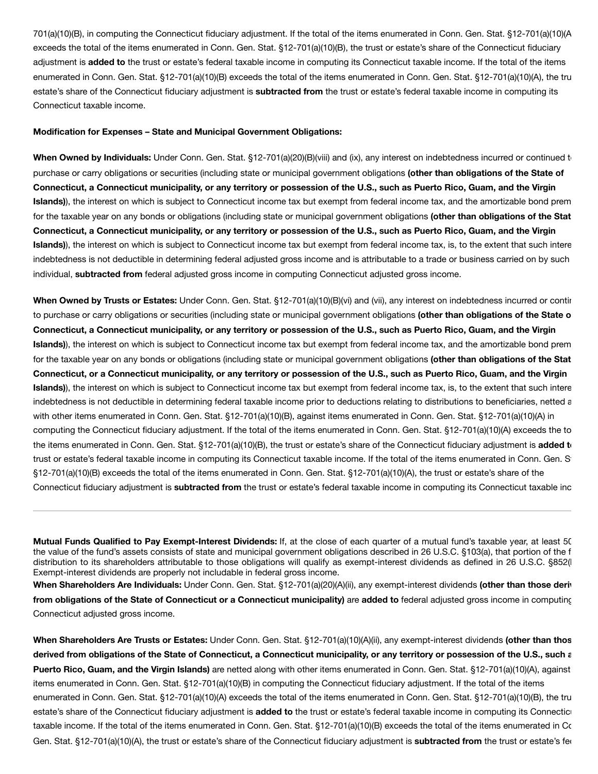701(a)(10)(B), in computing the Connecticut fiduciary adjustment. If the total of the items enumerated in Conn. Gen. Stat. §12-701(a)(10)(A exceeds the total of the items enumerated in Conn. Gen. Stat. §12-701(a)(10)(B), the trust or estate's share of the Connecticut fiduciary adjustment is **added to** the trust or estate's federal taxable income in computing its Connecticut taxable income. If the total of the items enumerated in Conn. Gen. Stat. §12-701(a)(10)(B) exceeds the total of the items enumerated in Conn. Gen. Stat. §12-701(a)(10)(A), the tru estate's share of the Connecticut fiduciary adjustment is **subtracted from** the trust or estate's federal taxable income in computing its Connecticut taxable income.

# **Modification for Expenses – State and Municipal Government Obligations:**

**When Owned by Individuals:** Under Conn. Gen. Stat. §12-701(a)(20)(B)(viii) and (ix), any interest on indebtedness incurred or continued to purchase or carry obligations or securities (including state or municipal government obligations **(other than obligations of the State of** Connecticut, a Connecticut municipality, or any territory or possession of the U.S., such as Puerto Rico, Guam, and the Virgin **Islands)**), the interest on which is subject to Connecticut income tax but exempt from federal income tax, and the amortizable bond prem for the taxable year on any bonds or obligations (including state or municipal government obligations **(other than obligations of the Stat** Connecticut, a Connecticut municipality, or any territory or possession of the U.S., such as Puerto Rico, Guam, and the Virgin **Islands)**), the interest on which is subject to Connecticut income tax but exempt from federal income tax, is, to the extent that such intere indebtedness is not deductible in determining federal adjusted gross income and is attributable to a trade or business carried on by such individual, **subtracted from** federal adjusted gross income in computing Connecticut adjusted gross income.

**When Owned by Trusts or Estates:** Under Conn. Gen. Stat. §12-701(a)(10)(B)(vi) and (vii), any interest on indebtedness incurred or contin to purchase or carry obligations or securities (including state or municipal government obligations **(other than obligations of the State o** Connecticut, a Connecticut municipality, or any territory or possession of the U.S., such as Puerto Rico, Guam, and the Virgin **Islands)**), the interest on which is subject to Connecticut income tax but exempt from federal income tax, and the amortizable bond prem for the taxable year on any bonds or obligations (including state or municipal government obligations **(other than obligations of the Stat** Connecticut, or a Connecticut municipality, or any territory or possession of the U.S., such as Puerto Rico, Guam, and the Virgin **Islands)**), the interest on which is subject to Connecticut income tax but exempt from federal income tax, is, to the extent that such intere indebtedness is not deductible in determining federal taxable income prior to deductions relating to distributions to beneficiaries, netted a with other items enumerated in Conn. Gen. Stat. §12-701(a)(10)(B), against items enumerated in Conn. Gen. Stat. §12-701(a)(10)(A) in computing the Connecticut fiduciary adjustment. If the total of the items enumerated in Conn. Gen. Stat. §12-701(a)(10)(A) exceeds the to the items enumerated in Conn. Gen. Stat. §12-701(a)(10)(B), the trust or estate's share of the Connecticut fiduciary adjustment is **added to** trust or estate's federal taxable income in computing its Connecticut taxable income. If the total of the items enumerated in Conn. Gen. St §12-701(a)(10)(B) exceeds the total of the items enumerated in Conn. Gen. Stat. §12-701(a)(10)(A), the trust or estate's share of the Connecticut fiduciary adjustment is **subtracted from** the trust or estate's federal taxable income in computing its Connecticut taxable inc

**Mutual Funds Qualified to Pay Exempt-Interest Dividends:** If, at the close of each quarter of a mutual fund's taxable year, at least 50 the value of the fund's assets consists of state and municipal government obligations described in 26 U.S.C. §103(a), that portion of the f distribution to its shareholders attributable to those obligations will qualify as exempt-interest dividends as defined in 26 U.S.C. §852(f Exempt-interest dividends are properly not includable in federal gross income.

**When Shareholders Are Individuals:** Under Conn. Gen. Stat. §12-701(a)(20)(A)(ii), any exempt-interest dividends **(other than those deriv from obligations of the State of Connecticut or a Connecticut municipality)** are **added to** federal adjusted gross income in computing Connecticut adjusted gross income.

**When Shareholders Are Trusts or Estates:** Under Conn. Gen. Stat. §12-701(a)(10)(A)(ii), any exempt-interest dividends **(other than thos** derived from obligations of the State of Connecticut, a Connecticut municipality, or any territory or possession of the U.S., such a **Puerto Rico, Guam, and the Virgin Islands)** are netted along with other items enumerated in Conn. Gen. Stat. §12-701(a)(10)(A), against items enumerated in Conn. Gen. Stat. §12-701(a)(10)(B) in computing the Connecticut fiduciary adjustment. If the total of the items enumerated in Conn. Gen. Stat. §12-701(a)(10)(A) exceeds the total of the items enumerated in Conn. Gen. Stat. §12-701(a)(10)(B), the tru estate's share of the Connecticut fiduciary adjustment is **added to** the trust or estate's federal taxable income in computing its Connecticu taxable income. If the total of the items enumerated in Conn. Gen. Stat. §12-701(a)(10)(B) exceeds the total of the items enumerated in Co Gen. Stat. §12-701(a)(10)(A), the trust or estate's share of the Connecticut fiduciary adjustment is **subtracted from** the trust or estate's fed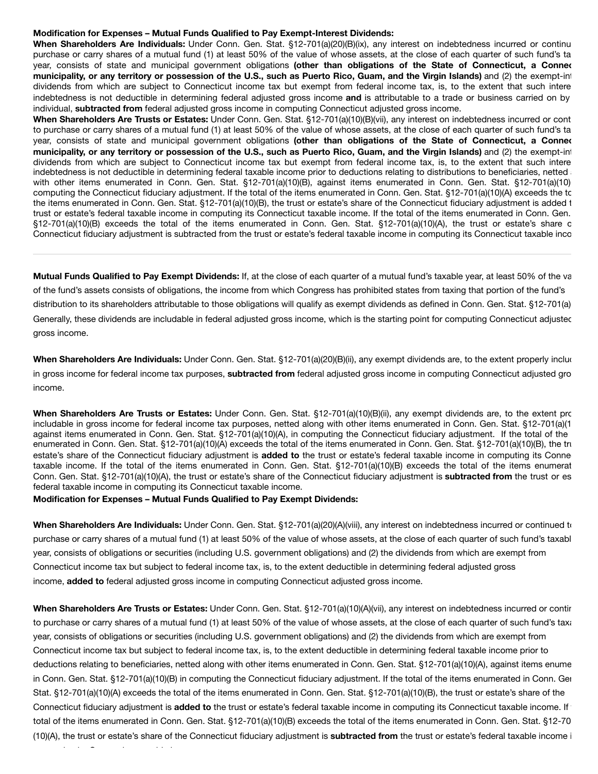# **Modification for Expenses – Mutual Funds Qualified to Pay Exempt-Interest Dividends:**

**When Shareholders Are Individuals:** Under Conn. Gen. Stat. §12-701(a)(20)(B)(ix), any interest on indebtedness incurred or continu purchase or carry shares of a mutual fund (1) at least 50% of the value of whose assets, at the close of each quarter of such fund's tax year, consists of state and municipal government obligations **(other than obligations of the State of Connecticut, a Connec** municipality, or any territory or possession of the U.S., such as Puerto Rico, Guam, and the Virgin Islands) and (2) the exempt-inl dividends from which are subject to Connecticut income tax but exempt from federal income tax, is, to the extent that such intere indebtedness is not deductible in determining federal adjusted gross income **and** is attributable to a trade or business carried on by individual, **subtracted from** federal adjusted gross income in computing Connecticut adjusted gross income.

**When Shareholders Are Trusts or Estates:** Under Conn. Gen. Stat. §12-701(a)(10)(B)(vii), any interest on indebtedness incurred or cont to purchase or carry shares of a mutual fund (1) at least 50% of the value of whose assets, at the close of each quarter of such fund's tax year, consists of state and municipal government obligations **(other than obligations of the State of Connecticut, a Connec** municipality, or any territory or possession of the U.S., such as Puerto Rico, Guam, and the Virgin Islands) and (2) the exempt-int dividends from which are subject to Connecticut income tax but exempt from federal income tax, is, to the extent that such intere indebtedness is not deductible in determining federal taxable income prior to deductions relating to distributions to beneficiaries, netted and with other items enumerated in Conn. Gen. Stat. §12-701(a)(10)(B), against items enumerated in Conn. Gen. Stat. §12-701(a)(10) computing the Connecticut fiduciary adjustment. If the total of the items enumerated in Conn. Gen. Stat. §12-701(a)(10)(A) exceeds the to the items enumerated in Conn. Gen. Stat. §12-701(a)(10)(B), the trust or estate's share of the Connecticut fiduciary adjustment is added t trust or estate's federal taxable income in computing its Connecticut taxable income. If the total of the items enumerated in Conn. Gen. §12-701(a)(10)(B) exceeds the total of the items enumerated in Conn. Gen. Stat. §12-701(a)(10)(A), the trust or estate's share o Connecticut fiduciary adjustment is subtracted from the trust or estate's federal taxable income in computing its Connecticut taxable inco

**Mutual Funds Qualified to Pay Exempt Dividends:** If, at the close of each quarter of a mutual fund's taxable year, at least 50% of the va of the fund's assets consists of obligations, the income from which Congress has prohibited states from taxing that portion of the fund's distribution to its shareholders attributable to those obligations will qualify as exempt dividends as defined in Conn. Gen. Stat. §12-701(a) Generally, these dividends are includable in federal adjusted gross income, which is the starting point for computing Connecticut adjustec gross income.

**When Shareholders Are Individuals:** Under Conn. Gen. Stat. §12-701(a)(20)(B)(ii), any exempt dividends are, to the extent properly included in gross income for federal income tax purposes, **subtracted from** federal adjusted gross income in computing Connecticut adjusted gro income.

**When Shareholders Are Trusts or Estates:** Under Conn. Gen. Stat. §12-701(a)(10)(B)(ii), any exempt dividends are, to the extent pro includable in gross income for federal income tax purposes, netted along with other items enumerated in Conn. Gen. Stat. §12-701(a)(1 against items enumerated in Conn. Gen. Stat. §12-701(a)(10)(A), in computing the Connecticut fiduciary adjustment. If the total of the enumerated in Conn. Gen. Stat. §12-701(a)(10)(A) exceeds the total of the items enumerated in Conn. Gen. Stat. §12-701(a)(10)(B), the tru estate's share of the Connecticut fiduciary adjustment is **added to** the trust or estate's federal taxable income in computing its Connec taxable income. If the total of the items enumerated in Conn. Gen. Stat. §12-701(a)(10)(B) exceeds the total of the items enumerat Conn. Gen. Stat. §12-701(a)(10)(A), the trust or estate's share of the Connecticut fiduciary adjustment is **subtracted from** the trust or es federal taxable income in computing its Connecticut taxable income.

# **Modification for Expenses – Mutual Funds Qualified to Pay Exempt Dividends:**

**When Shareholders Are Individuals:** Under Conn. Gen. Stat. §12-701(a)(20)(A)(viii), any interest on indebtedness incurred or continued to purchase or carry shares of a mutual fund (1) at least 50% of the value of whose assets, at the close of each quarter of such fund's taxabl year, consists of obligations or securities (including U.S. government obligations) and (2) the dividends from which are exempt from Connecticut income tax but subject to federal income tax, is, to the extent deductible in determining federal adjusted gross income, **added to** federal adjusted gross income in computing Connecticut adjusted gross income.

**When Shareholders Are Trusts or Estates:** Under Conn. Gen. Stat. §12-701(a)(10)(A)(vii), any interest on indebtedness incurred or contin to purchase or carry shares of a mutual fund (1) at least 50% of the value of whose assets, at the close of each quarter of such fund's taxa year, consists of obligations or securities (including U.S. government obligations) and (2) the dividends from which are exempt from Connecticut income tax but subject to federal income tax, is, to the extent deductible in determining federal taxable income prior to deductions relating to beneficiaries, netted along with other items enumerated in Conn. Gen. Stat. §12-701(a)(10)(A), against items enume in Conn. Gen. Stat. §12-701(a)(10)(B) in computing the Connecticut fiduciary adjustment. If the total of the items enumerated in Conn. Gen Stat. §12-701(a)(10)(A) exceeds the total of the items enumerated in Conn. Gen. Stat. §12-701(a)(10)(B), the trust or estate's share of the Connecticut fiduciary adjustment is **added to** the trust or estate's federal taxable income in computing its Connecticut taxable income. If t total of the items enumerated in Conn. Gen. Stat. §12-701(a)(10)(B) exceeds the total of the items enumerated in Conn. Gen. Stat. §12-70 (10)(A), the trust or estate's share of the Connecticut fiduciary adjustment is **subtracted from** the trust or estate's federal taxable income i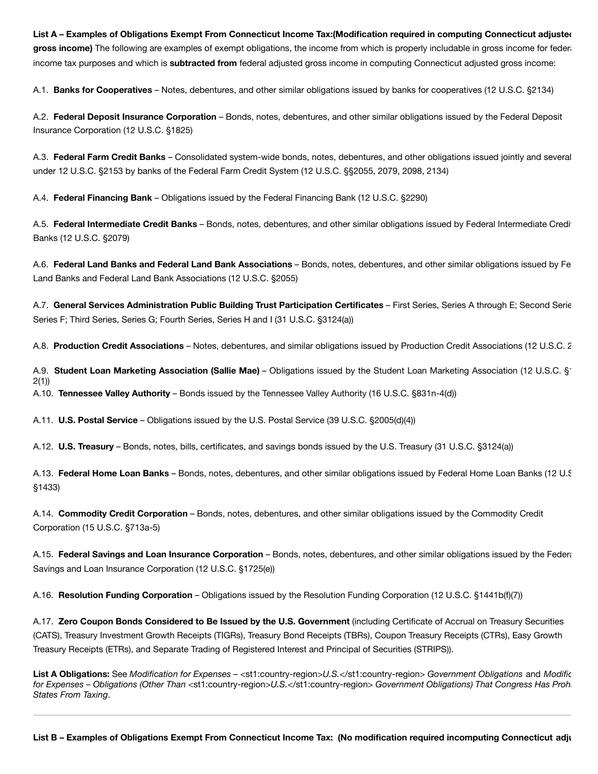List A - Examples of Obligations Exempt From Connecticut Income Tax: (Modification required in computing Connecticut adjusteo gross income) The following are examples of exempt obligations, the income from which is properly includable in gross income for federal income tax purposes and which is **subtracted from** federal adjusted gross income in computing Connecticut adjusted gross income:

A.1. **Banks for Cooperatives** – Notes, debentures, and other similar obligations issued by banks for cooperatives (12 U.S.C. §2134)

A.2. **Federal Deposit Insurance Corporation** – Bonds, notes, debentures, and other similar obligations issued by the Federal Deposit Insurance Corporation (12 U.S.C. §1825)

A.3. **Federal Farm Credit Banks** – Consolidated system-wide bonds, notes, debentures, and other obligations issued jointly and several under 12 U.S.C. §2153 by banks of the Federal Farm Credit System (12 U.S.C. §§2055, 2079, 2098, 2134)

A.4. **Federal Financing Bank** – Obligations issued by the Federal Financing Bank (12 U.S.C. §2290)

A.5. **Federal Intermediate Credit Banks** – Bonds, notes, debentures, and other similar obligations issued by Federal Intermediate Credit Banks (12 U.S.C. §2079)

A.6. **Federal Land Banks and Federal Land Bank Associations** – Bonds, notes, debentures, and other similar obligations issued by Fe Land Banks and Federal Land Bank Associations (12 U.S.C. §2055)

A.7. **General Services Administration Public Building Trust Participation Certificates** – First Series, Series A through E; Second Serie Series F; Third Series, Series G; Fourth Series, Series H and I (31 U.S.C. §3124(a))

A.8. **Production Credit Associations** – Notes, debentures, and similar obligations issued by Production Credit Associations (12 U.S.C. 2

A.9. **Student Loan Marketing Association (Sallie Mae)** – Obligations issued by the Student Loan Marketing Association (12 U.S.C. §1 2(1))

A.10. **Tennessee Valley Authority** – Bonds issued by the Tennessee Valley Authority (16 U.S.C. §831n-4(d))

A.11. **U.S. Postal Service** – Obligations issued by the U.S. Postal Service (39 U.S.C. §2005(d)(4))

A.12. **U.S. Treasury** – Bonds, notes, bills, certificates, and savings bonds issued by the U.S. Treasury (31 U.S.C. §3124(a))

A.13. **Federal Home Loan Banks** – Bonds, notes, debentures, and other similar obligations issued by Federal Home Loan Banks (12 U.S §1433)

A.14. **Commodity Credit Corporation** – Bonds, notes, debentures, and other similar obligations issued by the Commodity Credit Corporation (15 U.S.C. §713a-5)

A.15. **Federal Savings and Loan Insurance Corporation** – Bonds, notes, debentures, and other similar obligations issued by the Federa Savings and Loan Insurance Corporation (12 U.S.C. §1725(e))

A.16. **Resolution Funding Corporation** – Obligations issued by the Resolution Funding Corporation (12 U.S.C. §1441b(f)(7))

A.17. **Zero Coupon Bonds Considered to Be Issued by the U.S. Government** (including Certificate of Accrual on Treasury Securities (CATS), Treasury Investment Growth Receipts (TIGRs), Treasury Bond Receipts (TBRs), Coupon Treasury Receipts (CTRs), Easy Growth Treasury Receipts (ETRs), and Separate Trading of Registered Interest and Principal of Securities (STRIPS)).

**List A Obligations:** See *Modification for Expenses –* <st1:country-region>*U.S.*</st1:country-region> *Government Obligations* and *Modific for Expenses – Obligations (Other Than* <st1:country-region>*U.S.*</st1:country-region> *Government Obligations) That Congress Has Prohi States From Taxing*.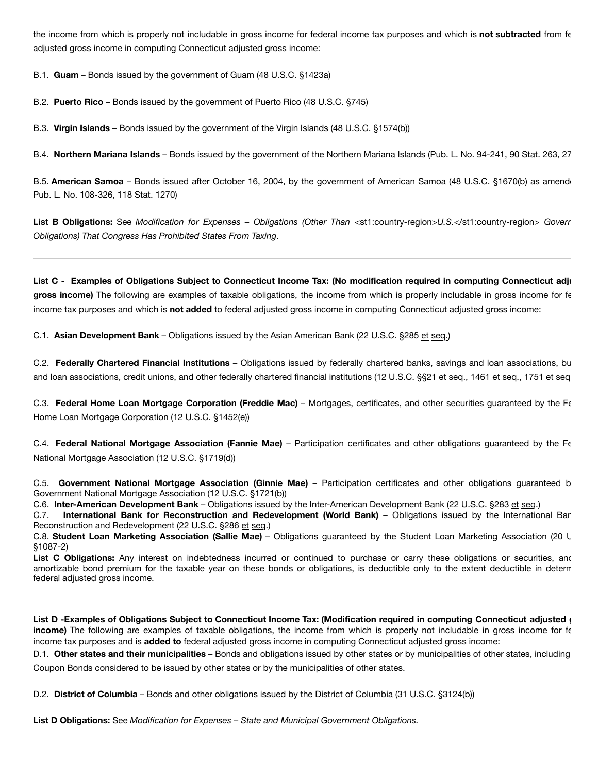the income from which is properly not includable in gross income for federal income tax purposes and which is **not subtracted** from fe adjusted gross income in computing Connecticut adjusted gross income:

B.1. **Guam** – Bonds issued by the government of Guam (48 U.S.C. §1423a)

B.2. **Puerto Rico** – Bonds issued by the government of Puerto Rico (48 U.S.C. §745)

B.3. **Virgin Islands** – Bonds issued by the government of the Virgin Islands (48 U.S.C. §1574(b))

B.4. **Northern Mariana Islands** – Bonds issued by the government of the Northern Mariana Islands (Pub. L. No. 94-241, 90 Stat. 263, 27

B.5. **American Samoa** – Bonds issued after October 16, 2004, by the government of American Samoa (48 U.S.C. §1670(b) as amende Pub. L. No. 108-326, 118 Stat. 1270)

**List B Obligations:** See *Modification for Expenses – Obligations (Other Than* <st1:country-region>*U.S.*</st1:country-region> *Govern Obligations) That Congress Has Prohibited States From Taxing*.

List C - Examples of Obligations Subject to Connecticut Income Tax: (No modification required in computing Connecticut adju **gross income)** The following are examples of taxable obligations, the income from which is properly includable in gross income for fe income tax purposes and which is **not added** to federal adjusted gross income in computing Connecticut adjusted gross income:

C.1. **Asian Development Bank** – Obligations issued by the Asian American Bank (22 U.S.C. §285 et seq.)

C.2. **Federally Chartered Financial Institutions** – Obligations issued by federally chartered banks, savings and loan associations, bu and loan associations, credit unions, and other federally chartered financial institutions (12 U.S.C. §§21 et seq., 1461 et seq., 1751 et seq.

C.3. **Federal Home Loan Mortgage Corporation (Freddie Mac)** – Mortgages, certificates, and other securities guaranteed by the Fe Home Loan Mortgage Corporation (12 U.S.C. §1452(e))

C.4. **Federal National Mortgage Association (Fannie Mae)** – Participation certificates and other obligations guaranteed by the Fe National Mortgage Association (12 U.S.C. §1719(d))

C.5. **Government National Mortgage Association (Ginnie Mae)** – Participation certificates and other obligations guaranteed by Government National Mortgage Association (12 U.S.C. §1721(b))

C.6. **Inter-American Development Bank** – Obligations issued by the Inter-American Development Bank (22 U.S.C. §283 et seq.)

C.7. **International Bank for Reconstruction and Redevelopment (World Bank)** – Obligations issued by the International Ban Reconstruction and Redevelopment (22 U.S.C. §286 et seq.)

C.8. **Student Loan Marketing Association (Sallie Mae)** – Obligations guaranteed by the Student Loan Marketing Association (20 U §1087-2)

List C Obligations: Any interest on indebtedness incurred or continued to purchase or carry these obligations or securities, and amortizable bond premium for the taxable year on these bonds or obligations, is deductible only to the extent deductible in determ federal adjusted gross income.

List D - Examples of Obligations Subject to Connecticut Income Tax: (Modification required in computing Connecticut adjusted ( **income)** The following are examples of taxable obligations, the income from which is properly not includable in gross income for fe income tax purposes and is **added to** federal adjusted gross income in computing Connecticut adjusted gross income:

D.1. **Other states and their municipalities** – Bonds and obligations issued by other states or by municipalities of other states, including Coupon Bonds considered to be issued by other states or by the municipalities of other states.

D.2. **District of Columbia** – Bonds and other obligations issued by the District of Columbia (31 U.S.C. §3124(b))

**List D Obligations:** See *Modification for Expenses – State and Municipal Government Obligations.*